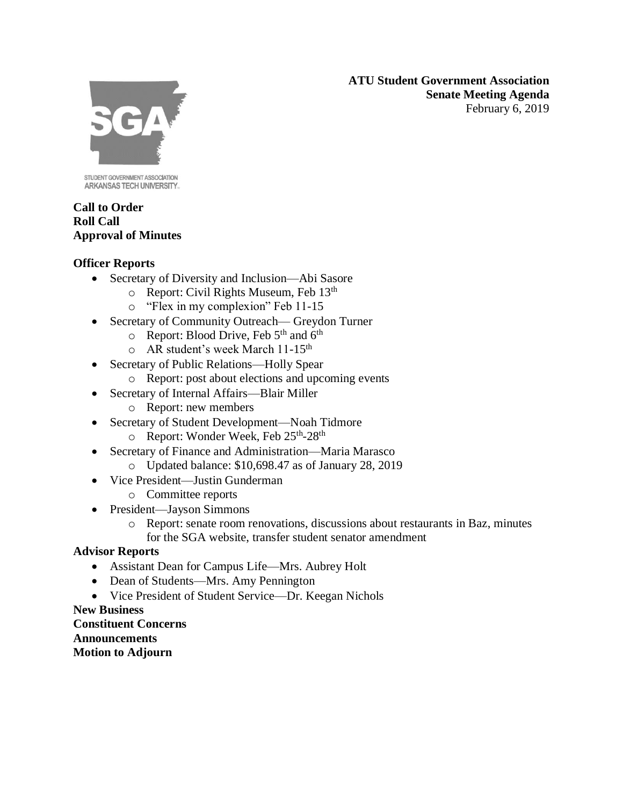**ATU Student Government Association Senate Meeting Agenda** February 6, 2019



STUDENT GOVERNMENT ASSOCIATION ARKANSAS TECH UNIVERSITY.

## **Call to Order Roll Call Approval of Minutes**

# **Officer Reports**

- Secretary of Diversity and Inclusion—Abi Sasore
	- o Report: Civil Rights Museum, Feb 13th
	- o "Flex in my complexion" Feb 11-15
- Secretary of Community Outreach— Greydon Turner
	- $\circ$  Report: Blood Drive, Feb 5<sup>th</sup> and 6<sup>th</sup>
	- o AR student's week March 11-15th
- Secretary of Public Relations—Holly Spear
	- o Report: post about elections and upcoming events
- Secretary of Internal Affairs—Blair Miller
	- o Report: new members
- Secretary of Student Development—Noah Tidmore
	- o Report: Wonder Week, Feb 25<sup>th</sup>-28<sup>th</sup>
- Secretary of Finance and Administration—Maria Marasco
	- o Updated balance: \$10,698.47 as of January 28, 2019
- Vice President—Justin Gunderman
	- o Committee reports
- President—Jayson Simmons
	- o Report: senate room renovations, discussions about restaurants in Baz, minutes for the SGA website, transfer student senator amendment

## **Advisor Reports**

- Assistant Dean for Campus Life—Mrs. Aubrey Holt
- Dean of Students—Mrs. Amy Pennington
- Vice President of Student Service—Dr. Keegan Nichols

### **New Business Constituent Concerns Announcements Motion to Adjourn**